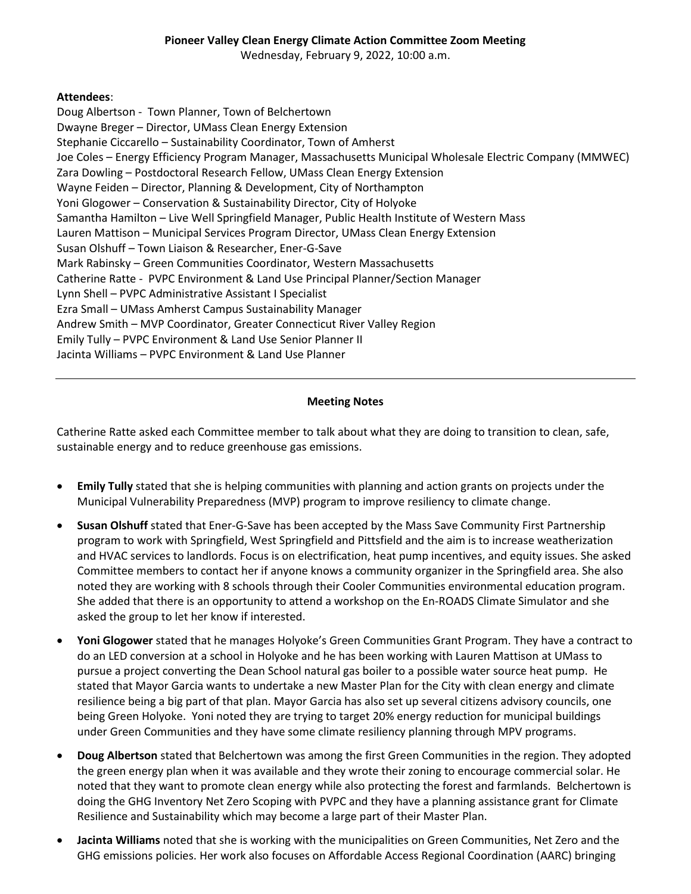Wednesday, February 9, 2022, 10:00 a.m.

## **Attendees**:

Doug Albertson - Town Planner, Town of Belchertown Dwayne Breger – Director, UMass Clean Energy Extension Stephanie Ciccarello – Sustainability Coordinator, Town of Amherst Joe Coles – Energy Efficiency Program Manager, Massachusetts Municipal Wholesale Electric Company (MMWEC) Zara Dowling – Postdoctoral Research Fellow, UMass Clean Energy Extension Wayne Feiden – Director, Planning & Development, City of Northampton Yoni Glogower – Conservation & Sustainability Director, City of Holyoke Samantha Hamilton – Live Well Springfield Manager, Public Health Institute of Western Mass Lauren Mattison – Municipal Services Program Director, UMass Clean Energy Extension Susan Olshuff – Town Liaison & Researcher, Ener-G-Save Mark Rabinsky – Green Communities Coordinator, Western Massachusetts Catherine Ratte - PVPC Environment & Land Use Principal Planner/Section Manager Lynn Shell – PVPC Administrative Assistant I Specialist Ezra Small – UMass Amherst Campus Sustainability Manager Andrew Smith – MVP Coordinator, Greater Connecticut River Valley Region Emily Tully – PVPC Environment & Land Use Senior Planner II Jacinta Williams – PVPC Environment & Land Use Planner

## **Meeting Notes**

Catherine Ratte asked each Committee member to talk about what they are doing to transition to clean, safe, sustainable energy and to reduce greenhouse gas emissions.

- **Emily Tully** stated that she is helping communities with planning and action grants on projects under the Municipal Vulnerability Preparedness (MVP) program to improve resiliency to climate change.
- **Susan Olshuff** stated that Ener-G-Save has been accepted by the Mass Save Community First Partnership program to work with Springfield, West Springfield and Pittsfield and the aim is to increase weatherization and HVAC services to landlords. Focus is on electrification, heat pump incentives, and equity issues. She asked Committee members to contact her if anyone knows a community organizer in the Springfield area. She also noted they are working with 8 schools through their Cooler Communities environmental education program. She added that there is an opportunity to attend a workshop on the En-ROADS Climate Simulator and she asked the group to let her know if interested.
- **Yoni Glogower** stated that he manages Holyoke's Green Communities Grant Program. They have a contract to do an LED conversion at a school in Holyoke and he has been working with Lauren Mattison at UMass to pursue a project converting the Dean School natural gas boiler to a possible water source heat pump. He stated that Mayor Garcia wants to undertake a new Master Plan for the City with clean energy and climate resilience being a big part of that plan. Mayor Garcia has also set up several citizens advisory councils, one being Green Holyoke. Yoni noted they are trying to target 20% energy reduction for municipal buildings under Green Communities and they have some climate resiliency planning through MPV programs.
- **Doug Albertson** stated that Belchertown was among the first Green Communities in the region. They adopted the green energy plan when it was available and they wrote their zoning to encourage commercial solar. He noted that they want to promote clean energy while also protecting the forest and farmlands. Belchertown is doing the GHG Inventory Net Zero Scoping with PVPC and they have a planning assistance grant for Climate Resilience and Sustainability which may become a large part of their Master Plan.
- **Jacinta Williams** noted that she is working with the municipalities on Green Communities, Net Zero and the GHG emissions policies. Her work also focuses on Affordable Access Regional Coordination (AARC) bringing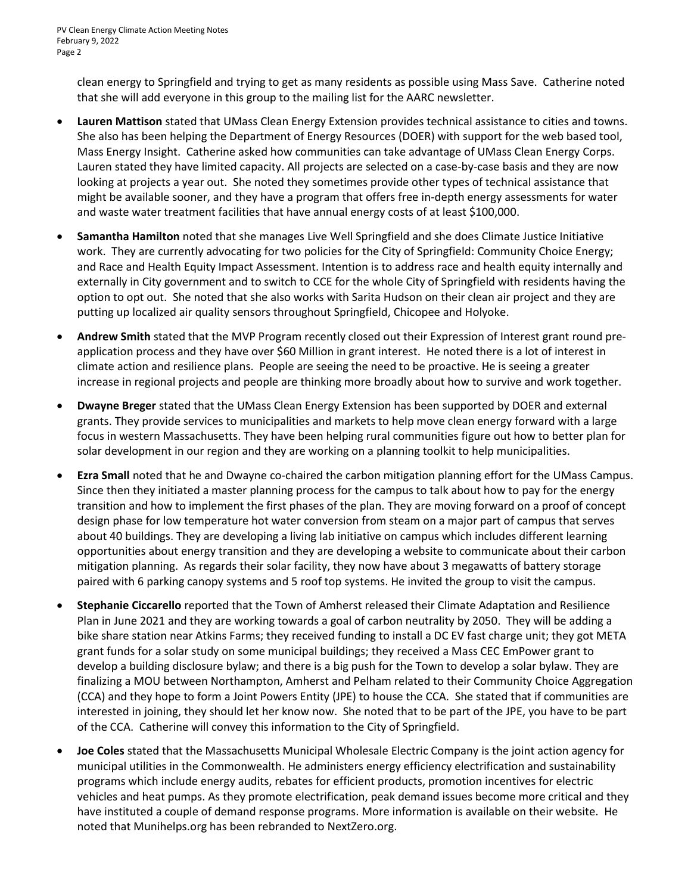clean energy to Springfield and trying to get as many residents as possible using Mass Save. Catherine noted that she will add everyone in this group to the mailing list for the AARC newsletter.

- **Lauren Mattison** stated that UMass Clean Energy Extension provides technical assistance to cities and towns. She also has been helping the Department of Energy Resources (DOER) with support for the web based tool, Mass Energy Insight. Catherine asked how communities can take advantage of UMass Clean Energy Corps. Lauren stated they have limited capacity. All projects are selected on a case-by-case basis and they are now looking at projects a year out. She noted they sometimes provide other types of technical assistance that might be available sooner, and they have a program that offers free in-depth energy assessments for water and waste water treatment facilities that have annual energy costs of at least \$100,000.
- **Samantha Hamilton** noted that she manages Live Well Springfield and she does Climate Justice Initiative work. They are currently advocating for two policies for the City of Springfield: Community Choice Energy; and Race and Health Equity Impact Assessment. Intention is to address race and health equity internally and externally in City government and to switch to CCE for the whole City of Springfield with residents having the option to opt out. She noted that she also works with Sarita Hudson on their clean air project and they are putting up localized air quality sensors throughout Springfield, Chicopee and Holyoke.
- **Andrew Smith** stated that the MVP Program recently closed out their Expression of Interest grant round preapplication process and they have over \$60 Million in grant interest. He noted there is a lot of interest in climate action and resilience plans. People are seeing the need to be proactive. He is seeing a greater increase in regional projects and people are thinking more broadly about how to survive and work together.
- **Dwayne Breger** stated that the UMass Clean Energy Extension has been supported by DOER and external grants. They provide services to municipalities and markets to help move clean energy forward with a large focus in western Massachusetts. They have been helping rural communities figure out how to better plan for solar development in our region and they are working on a planning toolkit to help municipalities.
- **Ezra Small** noted that he and Dwayne co-chaired the carbon mitigation planning effort for the UMass Campus. Since then they initiated a master planning process for the campus to talk about how to pay for the energy transition and how to implement the first phases of the plan. They are moving forward on a proof of concept design phase for low temperature hot water conversion from steam on a major part of campus that serves about 40 buildings. They are developing a living lab initiative on campus which includes different learning opportunities about energy transition and they are developing a website to communicate about their carbon mitigation planning. As regards their solar facility, they now have about 3 megawatts of battery storage paired with 6 parking canopy systems and 5 roof top systems. He invited the group to visit the campus.
- **Stephanie Ciccarello** reported that the Town of Amherst released their Climate Adaptation and Resilience Plan in June 2021 and they are working towards a goal of carbon neutrality by 2050. They will be adding a bike share station near Atkins Farms; they received funding to install a DC EV fast charge unit; they got META grant funds for a solar study on some municipal buildings; they received a Mass CEC EmPower grant to develop a building disclosure bylaw; and there is a big push for the Town to develop a solar bylaw. They are finalizing a MOU between Northampton, Amherst and Pelham related to their Community Choice Aggregation (CCA) and they hope to form a Joint Powers Entity (JPE) to house the CCA. She stated that if communities are interested in joining, they should let her know now. She noted that to be part of the JPE, you have to be part of the CCA. Catherine will convey this information to the City of Springfield.
- **Joe Coles** stated that the Massachusetts Municipal Wholesale Electric Company is the joint action agency for municipal utilities in the Commonwealth. He administers energy efficiency electrification and sustainability programs which include energy audits, rebates for efficient products, promotion incentives for electric vehicles and heat pumps. As they promote electrification, peak demand issues become more critical and they have instituted a couple of demand response programs. More information is available on their website. He noted that Munihelps.org has been rebranded to NextZero.org.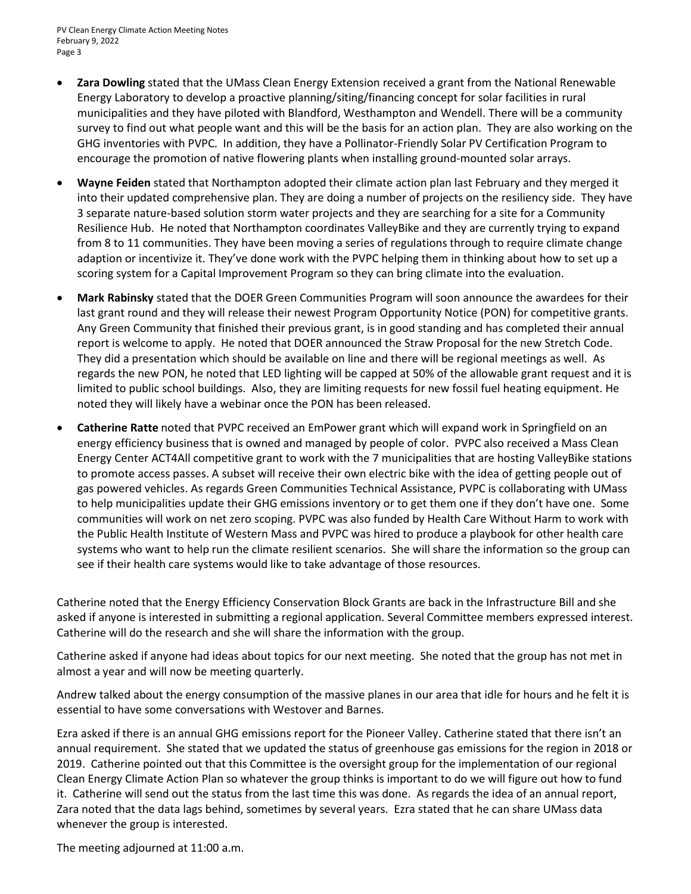- **Zara Dowling** stated that the UMass Clean Energy Extension received a grant from the National Renewable Energy Laboratory to develop a proactive planning/siting/financing concept for solar facilities in rural municipalities and they have piloted with Blandford, Westhampton and Wendell. There will be a community survey to find out what people want and this will be the basis for an action plan. They are also working on the GHG inventories with PVPC. In addition, they have a Pollinator-Friendly Solar PV Certification Program to encourage the promotion of native flowering plants when installing ground-mounted solar arrays.
- **Wayne Feiden** stated that Northampton adopted their climate action plan last February and they merged it into their updated comprehensive plan. They are doing a number of projects on the resiliency side. They have 3 separate nature-based solution storm water projects and they are searching for a site for a Community Resilience Hub. He noted that Northampton coordinates ValleyBike and they are currently trying to expand from 8 to 11 communities. They have been moving a series of regulations through to require climate change adaption or incentivize it. They've done work with the PVPC helping them in thinking about how to set up a scoring system for a Capital Improvement Program so they can bring climate into the evaluation.
- **Mark Rabinsky** stated that the DOER Green Communities Program will soon announce the awardees for their last grant round and they will release their newest Program Opportunity Notice (PON) for competitive grants. Any Green Community that finished their previous grant, is in good standing and has completed their annual report is welcome to apply. He noted that DOER announced the Straw Proposal for the new Stretch Code. They did a presentation which should be available on line and there will be regional meetings as well. As regards the new PON, he noted that LED lighting will be capped at 50% of the allowable grant request and it is limited to public school buildings. Also, they are limiting requests for new fossil fuel heating equipment. He noted they will likely have a webinar once the PON has been released.
- **Catherine Ratte** noted that PVPC received an EmPower grant which will expand work in Springfield on an energy efficiency business that is owned and managed by people of color. PVPC also received a Mass Clean Energy Center ACT4All competitive grant to work with the 7 municipalities that are hosting ValleyBike stations to promote access passes. A subset will receive their own electric bike with the idea of getting people out of gas powered vehicles. As regards Green Communities Technical Assistance, PVPC is collaborating with UMass to help municipalities update their GHG emissions inventory or to get them one if they don't have one. Some communities will work on net zero scoping. PVPC was also funded by Health Care Without Harm to work with the Public Health Institute of Western Mass and PVPC was hired to produce a playbook for other health care systems who want to help run the climate resilient scenarios. She will share the information so the group can see if their health care systems would like to take advantage of those resources.

Catherine noted that the Energy Efficiency Conservation Block Grants are back in the Infrastructure Bill and she asked if anyone is interested in submitting a regional application. Several Committee members expressed interest. Catherine will do the research and she will share the information with the group.

Catherine asked if anyone had ideas about topics for our next meeting. She noted that the group has not met in almost a year and will now be meeting quarterly.

Andrew talked about the energy consumption of the massive planes in our area that idle for hours and he felt it is essential to have some conversations with Westover and Barnes.

Ezra asked if there is an annual GHG emissions report for the Pioneer Valley. Catherine stated that there isn't an annual requirement. She stated that we updated the status of greenhouse gas emissions for the region in 2018 or 2019. Catherine pointed out that this Committee is the oversight group for the implementation of our regional Clean Energy Climate Action Plan so whatever the group thinks is important to do we will figure out how to fund it. Catherine will send out the status from the last time this was done. As regards the idea of an annual report, Zara noted that the data lags behind, sometimes by several years. Ezra stated that he can share UMass data whenever the group is interested.

The meeting adjourned at 11:00 a.m.